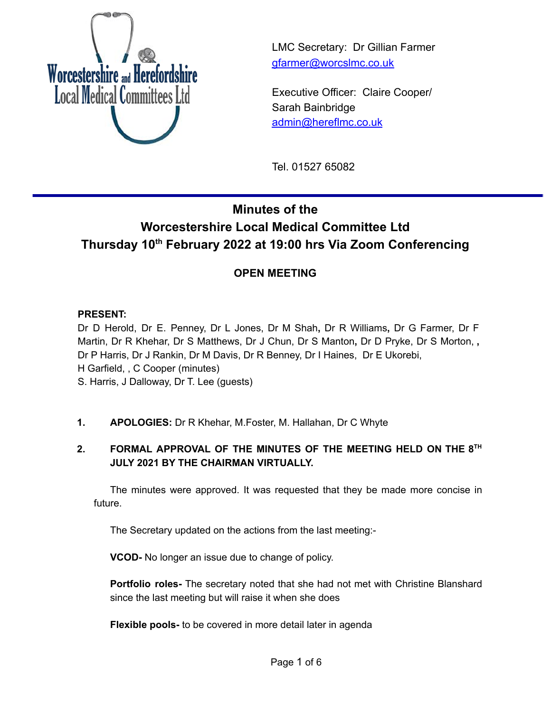

LMC Secretary: Dr Gillian Farmer [gfarmer@worcslmc.co.uk](mailto:gfarmer@worcslmc.co.uk)

Executive Officer: Claire Cooper/ Sarah Bainbridge [admin@hereflmc.co.uk](mailto:admin@hereflmc.co.uk)

Tel. 01527 65082

# **Minutes of the Worcestershire Local Medical Committee Ltd Thursday 10 th February 2022 at 19:00 hrs Via Zoom Conferencing**

# **OPEN MEETING**

#### **PRESENT:**

Dr D Herold, Dr E. Penney, Dr L Jones, Dr M Shah**,** Dr R Williams**,** Dr G Farmer, Dr F Martin, Dr R Khehar, Dr S Matthews, Dr J Chun, Dr S Manton**,** Dr D Pryke, Dr S Morton, **,** Dr P Harris, Dr J Rankin, Dr M Davis, Dr R Benney, Dr I Haines, Dr E Ukorebi, H Garfield, , C Cooper (minutes) S. Harris, J Dalloway, Dr T. Lee (guests)

**1. APOLOGIES:** Dr R Khehar, M.Foster, M. Hallahan, Dr C Whyte

## **2. FORMAL APPROVAL OF THE MINUTES OF THE MEETING HELD ON THE 8 TH JULY 2021 BY THE CHAIRMAN VIRTUALLY.**

The minutes were approved. It was requested that they be made more concise in future.

The Secretary updated on the actions from the last meeting:-

**VCOD-** No longer an issue due to change of policy.

**Portfolio roles-** The secretary noted that she had not met with Christine Blanshard since the last meeting but will raise it when she does

**Flexible pools-** to be covered in more detail later in agenda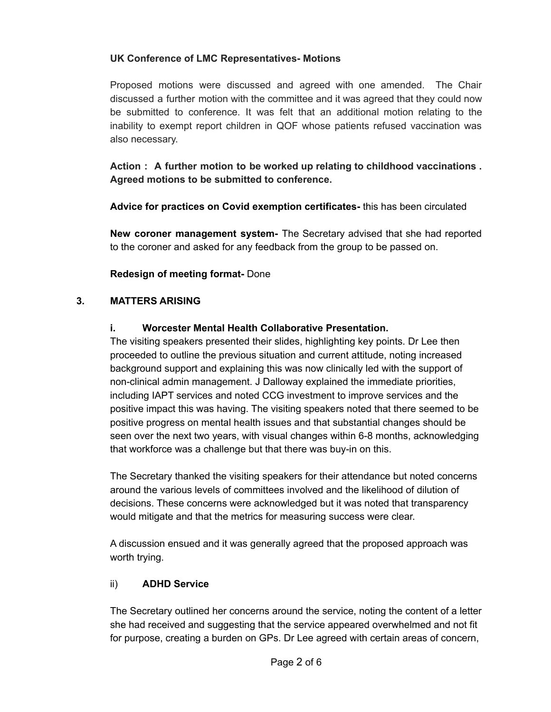#### **UK Conference of LMC Representatives- Motions**

Proposed motions were discussed and agreed with one amended. The Chair discussed a further motion with the committee and it was agreed that they could now be submitted to conference. It was felt that an additional motion relating to the inability to exempt report children in QOF whose patients refused vaccination was also necessary.

**Action : A further motion to be worked up relating to childhood vaccinations . Agreed motions to be submitted to conference.**

**Advice for practices on Covid exemption certificates-** this has been circulated

**New coroner management system-** The Secretary advised that she had reported to the coroner and asked for any feedback from the group to be passed on.

**Redesign of meeting format-** Done

#### **3. MATTERS ARISING**

#### **i. Worcester Mental Health Collaborative Presentation.**

The visiting speakers presented their slides, highlighting key points. Dr Lee then proceeded to outline the previous situation and current attitude, noting increased background support and explaining this was now clinically led with the support of non-clinical admin management. J Dalloway explained the immediate priorities, including IAPT services and noted CCG investment to improve services and the positive impact this was having. The visiting speakers noted that there seemed to be positive progress on mental health issues and that substantial changes should be seen over the next two years, with visual changes within 6-8 months, acknowledging that workforce was a challenge but that there was buy-in on this.

The Secretary thanked the visiting speakers for their attendance but noted concerns around the various levels of committees involved and the likelihood of dilution of decisions. These concerns were acknowledged but it was noted that transparency would mitigate and that the metrics for measuring success were clear.

A discussion ensued and it was generally agreed that the proposed approach was worth trying.

#### ii) **ADHD Service**

The Secretary outlined her concerns around the service, noting the content of a letter she had received and suggesting that the service appeared overwhelmed and not fit for purpose, creating a burden on GPs. Dr Lee agreed with certain areas of concern,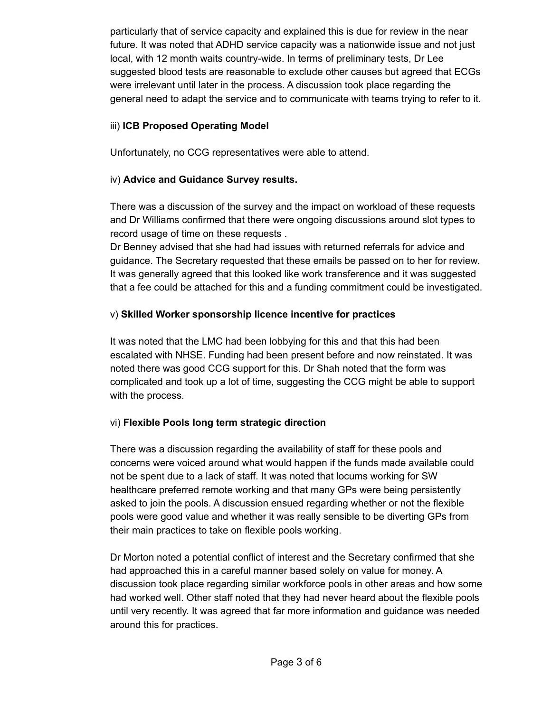particularly that of service capacity and explained this is due for review in the near future. It was noted that ADHD service capacity was a nationwide issue and not just local, with 12 month waits country-wide. In terms of preliminary tests, Dr Lee suggested blood tests are reasonable to exclude other causes but agreed that ECGs were irrelevant until later in the process. A discussion took place regarding the general need to adapt the service and to communicate with teams trying to refer to it.

#### iii) **ICB Proposed Operating Model**

Unfortunately, no CCG representatives were able to attend.

#### iv) **Advice and Guidance Survey results.**

There was a discussion of the survey and the impact on workload of these requests and Dr Williams confirmed that there were ongoing discussions around slot types to record usage of time on these requests .

Dr Benney advised that she had had issues with returned referrals for advice and guidance. The Secretary requested that these emails be passed on to her for review. It was generally agreed that this looked like work transference and it was suggested that a fee could be attached for this and a funding commitment could be investigated.

#### v) **Skilled Worker sponsorship licence incentive for practices**

It was noted that the LMC had been lobbying for this and that this had been escalated with NHSE. Funding had been present before and now reinstated. It was noted there was good CCG support for this. Dr Shah noted that the form was complicated and took up a lot of time, suggesting the CCG might be able to support with the process.

## vi) **Flexible Pools long term strategic direction**

There was a discussion regarding the availability of staff for these pools and concerns were voiced around what would happen if the funds made available could not be spent due to a lack of staff. It was noted that locums working for SW healthcare preferred remote working and that many GPs were being persistently asked to join the pools. A discussion ensued regarding whether or not the flexible pools were good value and whether it was really sensible to be diverting GPs from their main practices to take on flexible pools working.

Dr Morton noted a potential conflict of interest and the Secretary confirmed that she had approached this in a careful manner based solely on value for money. A discussion took place regarding similar workforce pools in other areas and how some had worked well. Other staff noted that they had never heard about the flexible pools until very recently. It was agreed that far more information and guidance was needed around this for practices.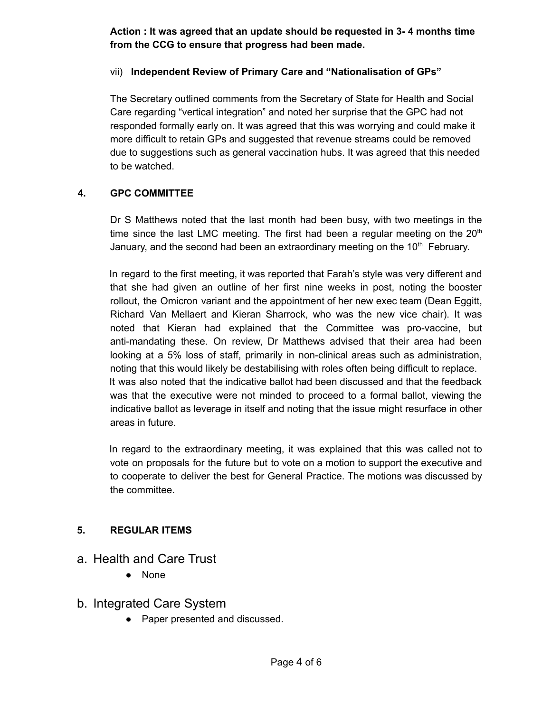**Action : It was agreed that an update should be requested in 3- 4 months time from the CCG to ensure that progress had been made.**

#### vii) **Independent Review of Primary Care and "Nationalisation of GPs"**

The Secretary outlined comments from the Secretary of State for Health and Social Care regarding "vertical integration" and noted her surprise that the GPC had not responded formally early on. It was agreed that this was worrying and could make it more difficult to retain GPs and suggested that revenue streams could be removed due to suggestions such as general vaccination hubs. It was agreed that this needed to be watched.

#### **4. GPC COMMITTEE**

Dr S Matthews noted that the last month had been busy, with two meetings in the time since the last LMC meeting. The first had been a regular meeting on the  $20<sup>th</sup>$ January, and the second had been an extraordinary meeting on the  $10<sup>th</sup>$  February.

In regard to the first meeting, it was reported that Farah's style was very different and that she had given an outline of her first nine weeks in post, noting the booster rollout, the Omicron variant and the appointment of her new exec team (Dean Eggitt, Richard Van Mellaert and Kieran Sharrock, who was the new vice chair). It was noted that Kieran had explained that the Committee was pro-vaccine, but anti-mandating these. On review, Dr Matthews advised that their area had been looking at a 5% loss of staff, primarily in non-clinical areas such as administration, noting that this would likely be destabilising with roles often being difficult to replace. It was also noted that the indicative ballot had been discussed and that the feedback was that the executive were not minded to proceed to a formal ballot, viewing the indicative ballot as leverage in itself and noting that the issue might resurface in other areas in future.

In regard to the extraordinary meeting, it was explained that this was called not to vote on proposals for the future but to vote on a motion to support the executive and to cooperate to deliver the best for General Practice. The motions was discussed by the committee.

#### **5. REGULAR ITEMS**

- a. Health and Care Trust
	- None

## b. Integrated Care System

• Paper presented and discussed.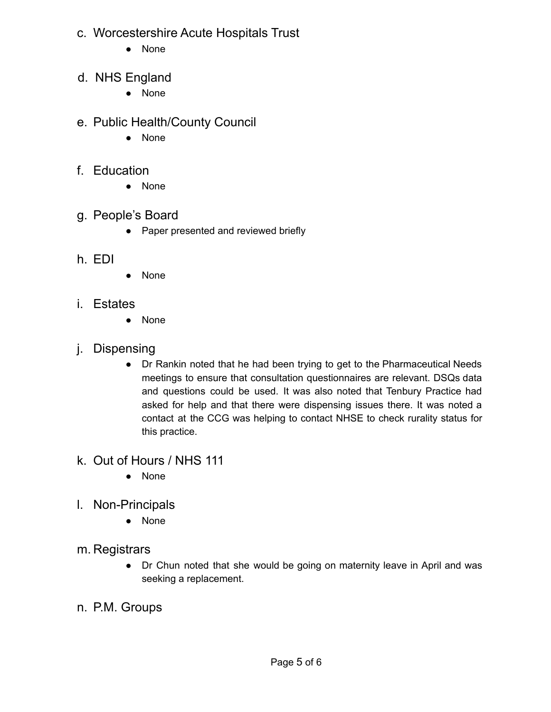- c. Worcestershire Acute Hospitals Trust
	- None
- d. NHS England
	- None
- e. Public Health/County Council
	- None
- f. Education
	- None
- g. People's Board
	- Paper presented and reviewed briefly
- h. EDI
- None
- i. Estates
	- None
- j. Dispensing
	- Dr Rankin noted that he had been trying to get to the Pharmaceutical Needs meetings to ensure that consultation questionnaires are relevant. DSQs data and questions could be used. It was also noted that Tenbury Practice had asked for help and that there were dispensing issues there. It was noted a contact at the CCG was helping to contact NHSE to check rurality status for this practice.
- k. Out of Hours / NHS 111
	- None
- l. Non-Principals
	- None
- m. Registrars
	- Dr Chun noted that she would be going on maternity leave in April and was seeking a replacement.
- n. P.M. Groups